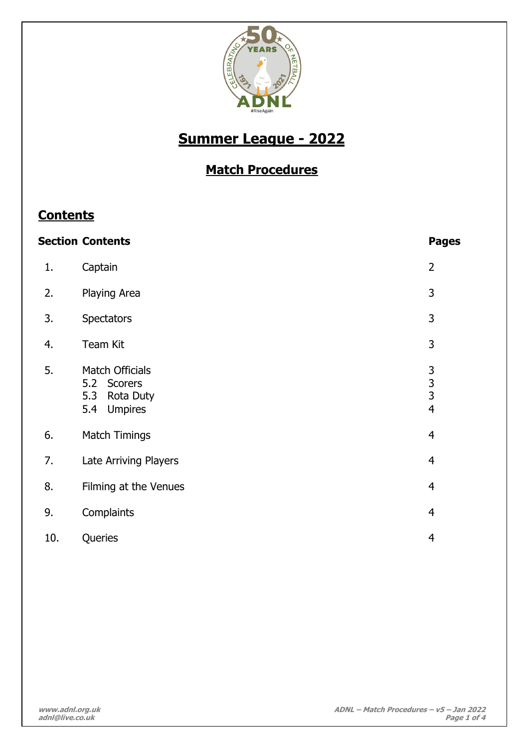

# **Summer League - 2022**

## **Match Procedures**

## **Contents**

|     | <b>Section Contents</b>                                                                   | <b>Pages</b>                                                 |
|-----|-------------------------------------------------------------------------------------------|--------------------------------------------------------------|
| 1.  | Captain                                                                                   | $\overline{2}$                                               |
| 2.  | Playing Area                                                                              | 3                                                            |
| 3.  | <b>Spectators</b>                                                                         | 3                                                            |
| 4.  | Team Kit                                                                                  | 3                                                            |
| 5.  | <b>Match Officials</b><br>5.2 Scorers<br><b>Rota Duty</b><br>5.3<br><b>Umpires</b><br>5.4 | $\begin{array}{c} 3 \\ 3 \\ 3 \end{array}$<br>$\overline{4}$ |
| 6.  | <b>Match Timings</b>                                                                      | $\overline{4}$                                               |
| 7.  | Late Arriving Players                                                                     | $\overline{4}$                                               |
| 8.  | Filming at the Venues                                                                     | $\overline{4}$                                               |
| 9.  | Complaints                                                                                | $\overline{4}$                                               |
| 10. | Queries                                                                                   | 4                                                            |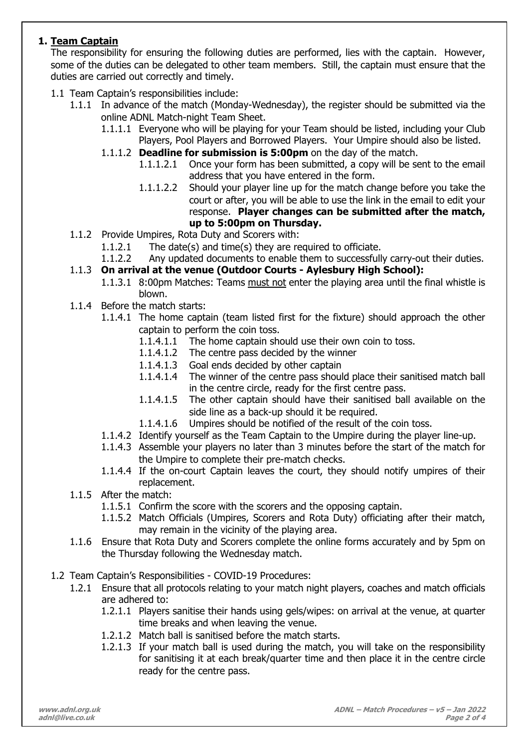## **1. Team Captain**

The responsibility for ensuring the following duties are performed, lies with the captain. However, some of the duties can be delegated to other team members. Still, the captain must ensure that the duties are carried out correctly and timely.

- 1.1 Team Captain's responsibilities include:
	- 1.1.1 In advance of the match (Monday-Wednesday), the register should be submitted via the online ADNL Match-night Team Sheet.
		- 1.1.1.1 Everyone who will be playing for your Team should be listed, including your Club Players, Pool Players and Borrowed Players. Your Umpire should also be listed.
		- 1.1.1.2 **Deadline for submission is 5:00pm** on the day of the match.
			- 1.1.1.2.1 Once your form has been submitted, a copy will be sent to the email address that you have entered in the form.
			- 1.1.1.2.2 Should your player line up for the match change before you take the court or after, you will be able to use the link in the email to edit your response. **Player changes can be submitted after the match, up to 5:00pm on Thursday.**
	- 1.1.2 Provide Umpires, Rota Duty and Scorers with:
		- 1.1.2.1 The date(s) and time(s) they are required to officiate.
		- 1.1.2.2 Any updated documents to enable them to successfully carry-out their duties.
	- 1.1.3 **On arrival at the venue (Outdoor Courts - Aylesbury High School):**
		- 1.1.3.1 8:00pm Matches: Teams must not enter the playing area until the final whistle is blown.
	- 1.1.4 Before the match starts:
		- 1.1.4.1 The home captain (team listed first for the fixture) should approach the other captain to perform the coin toss.
			- 1.1.4.1.1 The home captain should use their own coin to toss.
			- 1.1.4.1.2 The centre pass decided by the winner
			- 1.1.4.1.3 Goal ends decided by other captain
			- 1.1.4.1.4 The winner of the centre pass should place their sanitised match ball in the centre circle, ready for the first centre pass.
			- 1.1.4.1.5 The other captain should have their sanitised ball available on the side line as a back-up should it be required.
			- 1.1.4.1.6 Umpires should be notified of the result of the coin toss.
		- 1.1.4.2 Identify yourself as the Team Captain to the Umpire during the player line-up.
		- 1.1.4.3 Assemble your players no later than 3 minutes before the start of the match for the Umpire to complete their pre-match checks.
		- 1.1.4.4 If the on-court Captain leaves the court, they should notify umpires of their replacement.
	- 1.1.5 After the match:
		- 1.1.5.1 Confirm the score with the scorers and the opposing captain.
		- 1.1.5.2 Match Officials (Umpires, Scorers and Rota Duty) officiating after their match, may remain in the vicinity of the playing area.
	- 1.1.6 Ensure that Rota Duty and Scorers complete the online forms accurately and by 5pm on the Thursday following the Wednesday match.
- 1.2 Team Captain's Responsibilities COVID-19 Procedures:
	- 1.2.1 Ensure that all protocols relating to your match night players, coaches and match officials are adhered to:
		- 1.2.1.1 Players sanitise their hands using gels/wipes: on arrival at the venue, at quarter time breaks and when leaving the venue.
		- 1.2.1.2 Match ball is sanitised before the match starts.
		- 1.2.1.3 If your match ball is used during the match, you will take on the responsibility for sanitising it at each break/quarter time and then place it in the centre circle ready for the centre pass.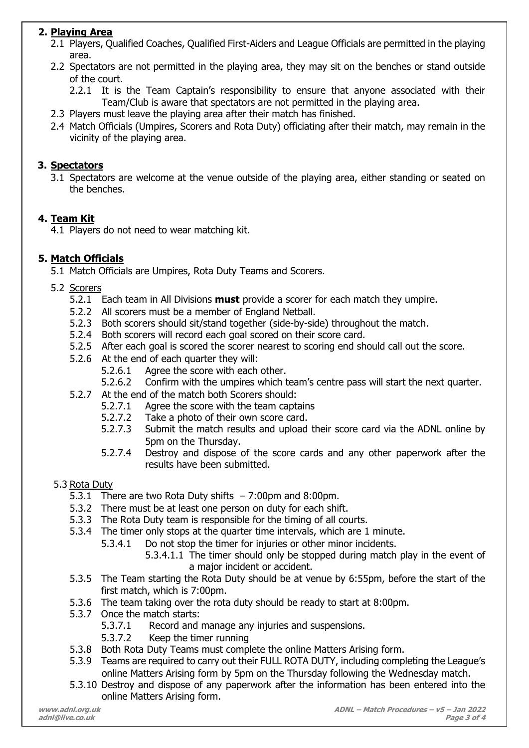## **2. Playing Area**

- 2.1 Players, Qualified Coaches, Qualified First-Aiders and League Officials are permitted in the playing area.
- 2.2 Spectators are not permitted in the playing area, they may sit on the benches or stand outside of the court.
	- 2.2.1 It is the Team Captain's responsibility to ensure that anyone associated with their Team/Club is aware that spectators are not permitted in the playing area.
- 2.3 Players must leave the playing area after their match has finished.
- 2.4 Match Officials (Umpires, Scorers and Rota Duty) officiating after their match, may remain in the vicinity of the playing area.

## **3. Spectators**

3.1 Spectators are welcome at the venue outside of the playing area, either standing or seated on the benches.

## **4. Team Kit**

4.1 Players do not need to wear matching kit.

## **5. Match Officials**

5.1 Match Officials are Umpires, Rota Duty Teams and Scorers.

- 5.2 Scorers
	- 5.2.1 Each team in All Divisions **must** provide a scorer for each match they umpire.
	- 5.2.2 All scorers must be a member of England Netball.
	- 5.2.3 Both scorers should sit/stand together (side-by-side) throughout the match.
	- 5.2.4 Both scorers will record each goal scored on their score card.
	- 5.2.5 After each goal is scored the scorer nearest to scoring end should call out the score.
	- 5.2.6 At the end of each quarter they will:
		- 5.2.6.1 Agree the score with each other.
		- 5.2.6.2 Confirm with the umpires which team's centre pass will start the next quarter.
	- 5.2.7 At the end of the match both Scorers should:
		- 5.2.7.1 Agree the score with the team captains
		- 5.2.7.2 Take a photo of their own score card.
		- 5.2.7.3 Submit the match results and upload their score card via the ADNL online by 5pm on the Thursday.
		- 5.2.7.4 Destroy and dispose of the score cards and any other paperwork after the results have been submitted.

## 5.3 Rota Duty

- 5.3.1 There are two Rota Duty shifts 7:00pm and 8:00pm.
- 5.3.2 There must be at least one person on duty for each shift.
- 5.3.3 The Rota Duty team is responsible for the timing of all courts.
- 5.3.4 The timer only stops at the quarter time intervals, which are 1 minute.
	- 5.3.4.1 Do not stop the timer for injuries or other minor incidents.
		- 5.3.4.1.1 The timer should only be stopped during match play in the event of a major incident or accident.
- 5.3.5 The Team starting the Rota Duty should be at venue by 6:55pm, before the start of the first match, which is 7:00pm.
- 5.3.6 The team taking over the rota duty should be ready to start at 8:00pm.
- 5.3.7 Once the match starts:
	- 5.3.7.1 Record and manage any injuries and suspensions.
	- 5.3.7.2 Keep the timer running
- 5.3.8 Both Rota Duty Teams must complete the online Matters Arising form.
- 5.3.9 Teams are required to carry out their FULL ROTA DUTY, including completing the League's online Matters Arising form by 5pm on the Thursday following the Wednesday match.
- 5.3.10 Destroy and dispose of any paperwork after the information has been entered into the online Matters Arising form.